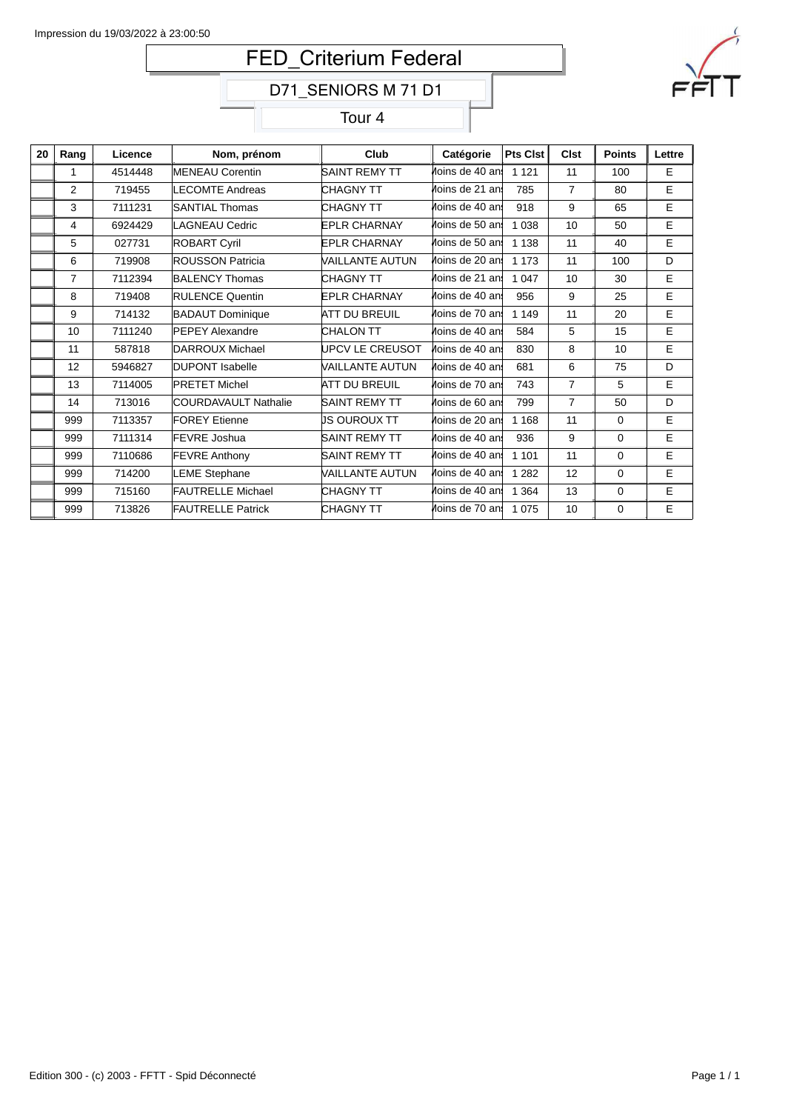# FED\_Criterium Federal



Tour 4

| 20 | Rang           | Licence | Nom, prénom              | Club                 | Catégorie       | <b>Pts Clst</b> | <b>Clst</b>    | <b>Points</b> | Lettre |
|----|----------------|---------|--------------------------|----------------------|-----------------|-----------------|----------------|---------------|--------|
|    | 1              | 4514448 | <b>MENEAU Corentin</b>   | SAINT REMY TT        | Moins de 40 ans | 1 1 2 1         | 11             | 100           | E.     |
|    | 2              | 719455  | <b>LECOMTE Andreas</b>   | CHAGNY TT            | Moins de 21 ans | 785             | $\overline{7}$ | 80            | E      |
|    | 3              | 7111231 | <b>SANTIAL Thomas</b>    | CHAGNY TT            | Moins de 40 an! | 918             | 9              | 65            | E      |
|    | 4              | 6924429 | LAGNEAU Cedric           | <b>EPLR CHARNAY</b>  | Moins de 50 ans | 1 0 3 8         | 10             | 50            | E      |
|    | 5              | 027731  | <b>ROBART Cyril</b>      | <b>EPLR CHARNAY</b>  | Moins de 50 ans | 1 1 3 8         | 11             | 40            | E      |
|    | 6              | 719908  | <b>ROUSSON Patricia</b>  | VAILLANTE AUTUN      | Moins de 20 ans | 1 1 7 3         | 11             | 100           | D      |
|    | $\overline{7}$ | 7112394 | <b>BALENCY Thomas</b>    | <b>CHAGNY TT</b>     | Moins de 21 ans | 1 0 4 7         | 10             | 30            | E      |
|    | 8              | 719408  | <b>RULENCE Quentin</b>   | <b>EPLR CHARNAY</b>  | Moins de 40 ans | 956             | 9              | 25            | E      |
|    | 9              | 714132  | <b>BADAUT Dominique</b>  | <b>ATT DU BREUIL</b> | Moins de 70 ans | 1 1 4 9         | 11             | 20            | E      |
|    | 10             | 7111240 | <b>PEPEY Alexandre</b>   | <b>CHALON TT</b>     | Moins de 40 an! | 584             | 5              | 15            | E      |
|    | 11             | 587818  | DARROUX Michael          | UPCV LE CREUSOT      | Moins de 40 ans | 830             | 8              | 10            | E      |
|    | 12             | 5946827 | <b>DUPONT Isabelle</b>   | VAILLANTE AUTUN      | Moins de 40 ans | 681             | 6              | 75            | D      |
|    | 13             | 7114005 | <b>PRETET Michel</b>     | <b>ATT DU BREUIL</b> | Moins de 70 ans | 743             | $\overline{7}$ | 5             | E      |
|    | 14             | 713016  | COURDAVAULT Nathalie     | <b>SAINT REMY TT</b> | Moins de 60 ans | 799             | $\overline{7}$ | 50            | D      |
|    | 999            | 7113357 | <b>FOREY Etienne</b>     | JS OUROUX TT         | Moins de 20 ans | 1 1 6 8         | 11             | $\Omega$      | E      |
|    | 999            | 7111314 | <b>FEVRE Joshua</b>      | <b>SAINT REMY TT</b> | Moins de 40 ans | 936             | 9              | $\Omega$      | E      |
|    | 999            | 7110686 | <b>FEVRE Anthony</b>     | <b>SAINT REMY TT</b> | Moins de 40 ans | 1 1 0 1         | 11             | $\Omega$      | E      |
|    | 999            | 714200  | <b>LEME Stephane</b>     | VAILLANTE AUTUN      | Moins de 40 an: | 1 2 8 2         | 12             | $\Omega$      | E      |
|    | 999            | 715160  | <b>FAUTRELLE Michael</b> | <b>CHAGNY TT</b>     | Moins de 40 ans | 1 3 6 4         | 13             | 0             | Е      |
|    | 999            | 713826  | <b>FAUTRELLE Patrick</b> | CHAGNY TT            | Moins de 70 ans | 1 0 7 5         | 10             | 0             | E      |

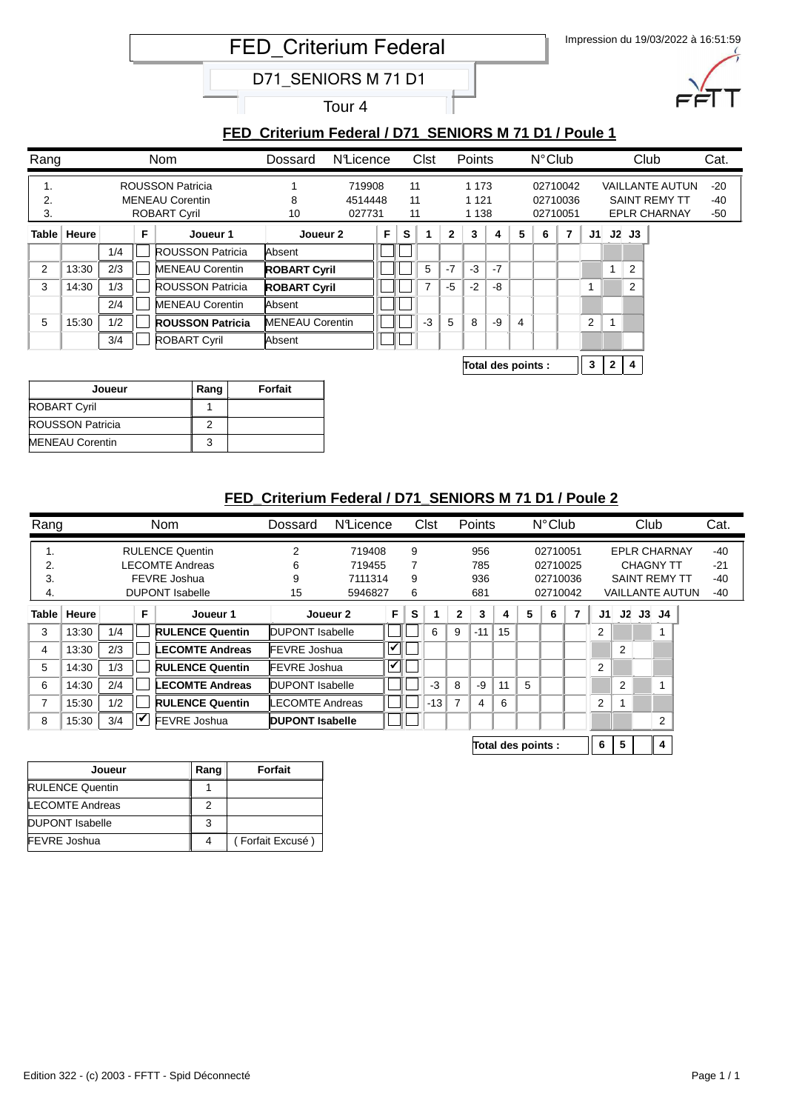Impression du 19/03/2022 à 16:51:59 FED\_Criterium Federal

D71\_SENIORS M 71 D1

Tour 4

# **FED\_Criterium Federal / D71\_SENIORS M 71 D1 / Poule 1**

| Rang           |               |     |   | Nom                                               | Dossard                                                        | NLicence |                      |    | Clst |                     | <b>Points</b> |      |                    | $N^{\circ}$ Club |                |                |                         |                | Club                                           | Cat.           |
|----------------|---------------|-----|---|---------------------------------------------------|----------------------------------------------------------------|----------|----------------------|----|------|---------------------|---------------|------|--------------------|------------------|----------------|----------------|-------------------------|----------------|------------------------------------------------|----------------|
| ι.<br>2.       |               |     |   | <b>ROUSSON Patricia</b><br><b>MENEAU Corentin</b> |                                                                | 719908   |                      | 11 |      |                     | 1 1 7 3       |      |                    |                  | 02710042       |                |                         |                | <b>VAILLANTE AUTUN</b><br><b>SAINT REMY TT</b> | $-20$<br>$-40$ |
| 3.             |               |     |   | <b>ROBART Cyril</b>                               | 11<br>8<br>1 1 2 1<br>4514448<br>11<br>10<br>1 1 3 8<br>027731 |          | 02710036<br>02710051 |    |      | <b>EPLR CHARNAY</b> |               |      |                    | $-50$            |                |                |                         |                |                                                |                |
|                | Table   Heure |     | F | Joueur 1                                          | Joueur 2                                                       |          | F                    | s  |      | $\mathbf{2}$        | 3             | 4    | 5                  | 6                | $\overline{7}$ | J1             |                         | J2J3           |                                                |                |
|                |               | 1/4 |   | <b>ROUSSON Patricia</b>                           | Absent                                                         |          |                      |    |      |                     |               |      |                    |                  |                |                |                         |                |                                                |                |
| $\overline{2}$ | 13:30         | 2/3 |   | <b>MENEAU Corentin</b>                            | <b>ROBART Cyril</b>                                            |          |                      |    | 5    | $-7$                | $-3$          | $-7$ |                    |                  |                |                |                         | $\overline{2}$ |                                                |                |
| 3              | 14:30         | 1/3 |   | <b>ROUSSON Patricia</b>                           | <b>ROBART Cyril</b>                                            |          |                      |    | 7    | $-5$                | $-2$          | -8   |                    |                  |                |                |                         | 2              |                                                |                |
|                |               | 2/4 |   | <b>MENEAU Corentin</b>                            | Absent                                                         |          |                      |    |      |                     |               |      |                    |                  |                |                |                         |                |                                                |                |
| 5              | 15:30         | 1/2 |   | <b>ROUSSON Patricia</b>                           | <b>MENEAU Corentin</b>                                         |          |                      |    | -3   | 5                   | 8             | $-9$ | 4                  |                  |                | $\overline{2}$ | $\overline{\mathbf{A}}$ |                |                                                |                |
|                |               | 3/4 |   | <b>ROBART Cyril</b>                               | Absent                                                         |          |                      |    |      |                     |               |      |                    |                  |                |                |                         |                |                                                |                |
|                |               |     |   |                                                   |                                                                |          |                      |    |      |                     |               |      | Total des points : |                  |                | 3              | $\mathbf{2}$            | 4              |                                                |                |

| Joueur                  | Rang | Forfait |
|-------------------------|------|---------|
| <b>ROBART Cyril</b>     |      |         |
| <b>ROUSSON Patricia</b> |      |         |
| <b>MENEAU Corentin</b>  |      |         |

### **FED\_Criterium Federal / D71\_SENIORS M 71 D1 / Poule 2**

| Rang  |       |     |    | <b>Nom</b>             | Dossard              | <b>N</b> Licence |                       |   | <b>Clst</b> |              | Points |    |                    | $N^{\circ}$ Club |                |    | Club |                         |                        | Cat.  |  |
|-------|-------|-----|----|------------------------|----------------------|------------------|-----------------------|---|-------------|--------------|--------|----|--------------------|------------------|----------------|----|------|-------------------------|------------------------|-------|--|
| 1.    |       |     |    | <b>RULENCE Quentin</b> | 2                    | 719408           |                       | 9 |             |              | 956    |    |                    | 02710051         |                |    |      | <b>EPLR CHARNAY</b>     |                        | -40   |  |
| 2.    |       |     |    | LECOMTE Andreas        | 6                    | 719455           |                       | 7 |             |              | 785    |    |                    | 02710025         |                |    |      | <b>CHAGNY TT</b>        |                        | $-21$ |  |
| 3.    |       |     |    | FEVRE Joshua           | 9                    | 7111314          |                       | 9 |             |              | 936    |    |                    | 02710036         |                |    |      | <b>SAINT REMY TT</b>    |                        | -40   |  |
| 4.    |       |     |    | <b>DUPONT Isabelle</b> | 15                   | 5946827          |                       | 6 |             |              | 681    |    |                    | 02710042         |                |    |      |                         | <b>VAILLANTE AUTUN</b> | -40   |  |
| Table | Heure |     | F  | Joueur 1               |                      | Joueur 2         | F                     | s |             | $\mathbf{2}$ | 3      | 4  | 5                  | 6                | J1             | J2 | J3   | J4                      |                        |       |  |
| 3     | 13:30 | 1/4 |    | <b>RULENCE Quentin</b> | DUPONT Isabelle      |                  |                       |   | 6           | 9            | $-11$  | 15 |                    |                  | $\overline{2}$ |    |      |                         |                        |       |  |
| 4     | 13:30 | 2/3 |    | <b>LECOMTE Andreas</b> | <b>IFEVRE Joshua</b> |                  | $\blacktriangledown$  |   |             |              |        |    |                    |                  |                | 2  |      |                         |                        |       |  |
| 5     | 14:30 | 1/3 |    | <b>RULENCE Quentin</b> | <b>FEVRE Joshua</b>  |                  | $\blacktriangleright$ |   |             |              |        |    |                    |                  | $\overline{2}$ |    |      |                         |                        |       |  |
| 6     | 14:30 | 2/4 |    | <b>LECOMTE Andreas</b> | DUPONT Isabelle      |                  |                       |   | $-3$        | 8            | -9     | 11 | 5                  |                  |                | 2  |      | $\overline{\mathbf{A}}$ |                        |       |  |
| 7     | 15:30 | 1/2 |    | <b>RULENCE Quentin</b> | LECOMTE Andreas      |                  |                       |   | $-13$       |              | 4      | 6  |                    |                  | $\overline{2}$ |    |      |                         |                        |       |  |
| 8     | 15:30 | 3/4 | ∣✔ | FEVRE Joshua           | DUPONT Isabelle      |                  |                       |   |             |              |        |    |                    |                  |                |    |      | 2                       |                        |       |  |
|       |       |     |    |                        |                      |                  |                       |   |             |              |        |    | Total des points : |                  | 6              | 5  |      | 4                       |                        |       |  |

| Joueur                 | Rang | Forfait          |
|------------------------|------|------------------|
| <b>RULENCE Quentin</b> |      |                  |
| <b>LECOMTE Andreas</b> |      |                  |
| <b>DUPONT</b> Isabelle | 3    |                  |
| <b>FEVRE Joshua</b>    |      | (Forfait Excusé) |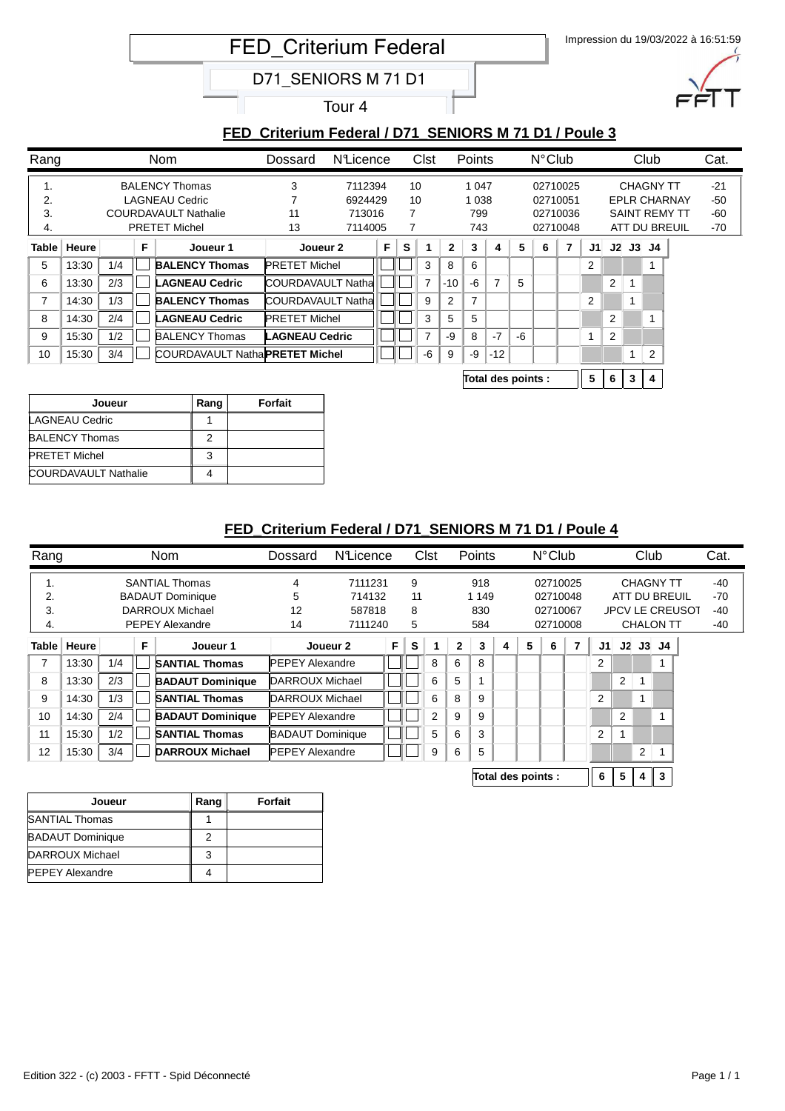Impression du 19/03/2022 à 16:51:59 FED\_Criterium Federal

D71\_SENIORS M 71 D1

Tour 4

### **FED\_Criterium Federal / D71\_SENIORS M 71 D1 / Poule 3**

| Rang         |       |     |   | <b>Nom</b>                      | Dossard                  | <b>N</b> Licence |   |    | <b>Clst</b> |                | Points  |                |    | $N^{\circ}$ Club |                |                |                |           | Club             |                      | Cat.  |
|--------------|-------|-----|---|---------------------------------|--------------------------|------------------|---|----|-------------|----------------|---------|----------------|----|------------------|----------------|----------------|----------------|-----------|------------------|----------------------|-------|
| 1.           |       |     |   | <b>BALENCY Thomas</b>           | 3                        | 7112394          |   | 10 |             |                | 1 0 4 7 |                |    |                  | 02710025       |                |                |           | <b>CHAGNY TT</b> |                      | $-21$ |
| 2.           |       |     |   | <b>LAGNEAU Cedric</b>           |                          | 6924429          |   | 10 |             |                | 1 0 3 8 |                |    |                  | 02710051       |                |                |           |                  | <b>EPLR CHARNAY</b>  | $-50$ |
| 3.           |       |     |   | <b>COURDAVAULT Nathalie</b>     | 11                       | 713016           |   | 7  |             |                | 799     |                |    |                  | 02710036       |                |                |           |                  | <b>SAINT REMY TT</b> | -60   |
| 4.           |       |     |   | <b>PRETET Michel</b>            | 13                       | 7114005          |   |    |             |                | 743     |                |    |                  | 02710048       |                |                |           |                  | ATT DU BREUIL        | $-70$ |
| <b>Table</b> | Heure |     | F | Joueur 1                        | Joueur 2                 |                  | F | s  |             | $\mathbf{2}$   | 3       | 4              | 5  | 6                | $\overline{7}$ | J1             |                | $J2$ $J3$ | J4               |                      |       |
| 5            | 13:30 | 1/4 |   | <b>BALENCY Thomas</b>           | <b>PRETET Michel</b>     |                  |   |    | 3           | 8              | 6       |                |    |                  |                | 2              |                |           |                  |                      |       |
| 6            | 13:30 | 2/3 |   | <b>LAGNEAU Cedric</b>           | COURDAVAULT Natha        |                  |   |    | ⇁           | $-10$          | -6      | $\overline{7}$ | 5  |                  |                |                | $\overline{2}$ |           |                  |                      |       |
| 7            | 14:30 | 1/3 |   | <b>BALENCY Thomas</b>           | <b>COURDAVAULT Natha</b> |                  |   |    | 9           | $\overline{2}$ | 7       |                |    |                  |                | $\overline{2}$ |                |           |                  |                      |       |
| 8            | 14:30 | 2/4 |   | <b>LAGNEAU Cedric</b>           | <b>PRETET Michel</b>     |                  |   |    | 3           | 5              | 5       |                |    |                  |                |                | 2              |           |                  |                      |       |
| 9            | 15:30 | 1/2 |   | <b>BALENCY Thomas</b>           | <b>LAGNEAU Cedric</b>    |                  |   |    | 7           | -9             | 8       | $-7$           | -6 |                  |                |                | 2              |           |                  |                      |       |
| 10           | 15:30 | 3/4 |   | COURDAVAULT NathalPRETET Michel |                          |                  |   |    | -6          | 9              | -9      | $-12$          |    |                  |                |                |                |           | 2                |                      |       |
|              |       |     |   |                                 |                          |                  |   |    |             |                |         |                |    |                  |                |                |                |           |                  |                      |       |

**Total des points : 5 6 3 4**

| Joueur                      | Rang | Forfait |
|-----------------------------|------|---------|
| LAGNEAU Cedric              |      |         |
| <b>BALENCY Thomas</b>       | 2    |         |
| <b>PRETET Michel</b>        | 3    |         |
| <b>COURDAVAULT Nathalie</b> |      |         |

# **FED\_Criterium Federal / D71\_SENIORS M 71 D1 / Poule 4**

| Rang  |       |     |   | Nom                     | Dossard                 | <b>N</b> Licence | $N^{\circ}$ Club<br><b>Points</b><br><b>Clst</b><br>Club |    |   |         |     | Cat.     |                    |          |                |    |                |                |                  |       |       |  |  |  |  |  |  |  |  |  |  |  |  |  |  |  |  |  |  |  |  |  |  |  |  |  |  |  |  |  |  |  |                  |  |     |  |  |  |  |  |  |  |  |  |  |  |  |  |  |  |  |  |  |                        |     |
|-------|-------|-----|---|-------------------------|-------------------------|------------------|----------------------------------------------------------|----|---|---------|-----|----------|--------------------|----------|----------------|----|----------------|----------------|------------------|-------|-------|--|--|--|--|--|--|--|--|--|--|--|--|--|--|--|--|--|--|--|--|--|--|--|--|--|--|--|--|--|--|--|------------------|--|-----|--|--|--|--|--|--|--|--|--|--|--|--|--|--|--|--|--|--|------------------------|-----|
| 1.    |       |     |   | <b>SANTIAL Thomas</b>   | 4                       | 7111231          |                                                          | 9  |   |         | 918 |          |                    | 02710025 |                |    |                |                | <b>CHAGNY TT</b> |       | $-40$ |  |  |  |  |  |  |  |  |  |  |  |  |  |  |  |  |  |  |  |  |  |  |  |  |  |  |  |  |  |  |  |                  |  |     |  |  |  |  |  |  |  |  |  |  |  |  |  |  |  |  |  |  |                        |     |
| 2.    |       |     |   | <b>BADAUT Dominique</b> | 5<br>714132             |                  |                                                          | 11 |   | 1 1 4 9 |     | 02710048 |                    |          |                |    | ATT DU BREUIL  |                |                  | $-70$ |       |  |  |  |  |  |  |  |  |  |  |  |  |  |  |  |  |  |  |  |  |  |  |  |  |  |  |  |  |  |  |  |                  |  |     |  |  |  |  |  |  |  |  |  |  |  |  |  |  |  |  |  |  |                        |     |
| 3.    |       |     |   | DARROUX Michael         | 12                      | 587818           |                                                          | 8  |   | 830     |     | 02710067 |                    |          |                |    |                |                |                  |       |       |  |  |  |  |  |  |  |  |  |  |  |  |  |  |  |  |  |  |  |  |  |  |  |  |  |  |  |  |  |  |  |                  |  |     |  |  |  |  |  |  |  |  |  |  |  |  |  |  |  |  |  |  | <b>JPCV LE CREUSOT</b> | -40 |
| 4.    |       |     |   | <b>PEPEY Alexandre</b>  | 14                      | 7111240          |                                                          | 5  |   | 584     |     |          |                    | 02710008 |                |    |                |                |                  |       |       |  |  |  |  |  |  |  |  |  |  |  |  |  |  |  |  |  |  |  |  |  |  |  |  |  |  |  |  |  |  |  | <b>CHALON TT</b> |  | -40 |  |  |  |  |  |  |  |  |  |  |  |  |  |  |  |  |  |  |                        |     |
| Table | Heure |     | F | Joueur 1                |                         | Joueur 2         | F.                                                       | s  |   | 2       | 3   | 4        | 5                  | 6        | $\overline{7}$ | J1 |                | $J2$ $J3$ $J4$ |                  |       |       |  |  |  |  |  |  |  |  |  |  |  |  |  |  |  |  |  |  |  |  |  |  |  |  |  |  |  |  |  |  |  |                  |  |     |  |  |  |  |  |  |  |  |  |  |  |  |  |  |  |  |  |  |                        |     |
| 7     | 13:30 | 1/4 |   | <b>SANTIAL Thomas</b>   | <b>PEPEY Alexandre</b>  |                  |                                                          |    | 8 | 6       | 8   |          |                    |          |                | 2  |                |                |                  |       |       |  |  |  |  |  |  |  |  |  |  |  |  |  |  |  |  |  |  |  |  |  |  |  |  |  |  |  |  |  |  |  |                  |  |     |  |  |  |  |  |  |  |  |  |  |  |  |  |  |  |  |  |  |                        |     |
| 8     | 13:30 | 2/3 |   | <b>BADAUT Dominique</b> | DARROUX Michael         |                  |                                                          |    | 6 | 5       |     |          |                    |          |                |    | $\overline{2}$ |                |                  |       |       |  |  |  |  |  |  |  |  |  |  |  |  |  |  |  |  |  |  |  |  |  |  |  |  |  |  |  |  |  |  |  |                  |  |     |  |  |  |  |  |  |  |  |  |  |  |  |  |  |  |  |  |  |                        |     |
| 9     | 14:30 | 1/3 |   | <b>SANTIAL Thomas</b>   | DARROUX Michael         |                  |                                                          |    | 6 | 8       | 9   |          |                    |          |                | 2  |                |                |                  |       |       |  |  |  |  |  |  |  |  |  |  |  |  |  |  |  |  |  |  |  |  |  |  |  |  |  |  |  |  |  |  |  |                  |  |     |  |  |  |  |  |  |  |  |  |  |  |  |  |  |  |  |  |  |                        |     |
| 10    | 14:30 | 2/4 |   | <b>BADAUT Dominique</b> | <b>IPEPEY Alexandre</b> |                  |                                                          |    | 2 | 9       | 9   |          |                    |          |                |    | $\overline{2}$ |                |                  |       |       |  |  |  |  |  |  |  |  |  |  |  |  |  |  |  |  |  |  |  |  |  |  |  |  |  |  |  |  |  |  |  |                  |  |     |  |  |  |  |  |  |  |  |  |  |  |  |  |  |  |  |  |  |                        |     |
| 11    | 15:30 | 1/2 |   | <b>SANTIAL Thomas</b>   | <b>BADAUT Dominique</b> |                  |                                                          |    | 5 | 6       | 3   |          |                    |          |                | 2  |                |                |                  |       |       |  |  |  |  |  |  |  |  |  |  |  |  |  |  |  |  |  |  |  |  |  |  |  |  |  |  |  |  |  |  |  |                  |  |     |  |  |  |  |  |  |  |  |  |  |  |  |  |  |  |  |  |  |                        |     |
| 12    | 15:30 | 3/4 |   | <b>DARROUX Michael</b>  | <b>PEPEY Alexandre</b>  |                  |                                                          |    | 9 | 6       | 5   |          |                    |          |                |    |                | 2              |                  |       |       |  |  |  |  |  |  |  |  |  |  |  |  |  |  |  |  |  |  |  |  |  |  |  |  |  |  |  |  |  |  |  |                  |  |     |  |  |  |  |  |  |  |  |  |  |  |  |  |  |  |  |  |  |                        |     |
|       |       |     |   |                         |                         |                  |                                                          |    |   |         |     |          | Total des points : |          |                | 6  | 5              | 4              | $\mathbf{3}$     |       |       |  |  |  |  |  |  |  |  |  |  |  |  |  |  |  |  |  |  |  |  |  |  |  |  |  |  |  |  |  |  |  |                  |  |     |  |  |  |  |  |  |  |  |  |  |  |  |  |  |  |  |  |  |                        |     |

| Joueur                  | Rang | Forfait |
|-------------------------|------|---------|
| <b>SANTIAL Thomas</b>   |      |         |
| <b>BADAUT Dominique</b> |      |         |
| DARROUX Michael         | 3    |         |
| <b>PEPEY Alexandre</b>  |      |         |